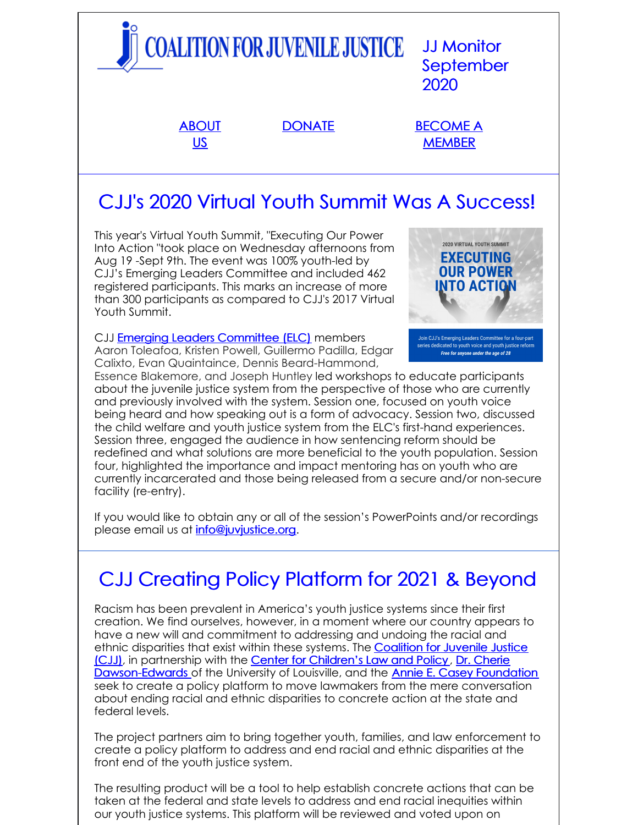

# CJJ's 2020 Virtual Youth Summit Was A Success!

This year's Virtual Youth Summit, "Executing Our Power Into Action "took place on Wednesday afternoons from Aug 19 -Sept 9th. The event was 100% youth-led by CJJ's Emerging Leaders Committee and included 462 registered participants. This marks an increase of more than 300 participants as compared to CJJ's 2017 Virtual Youth Summit.

CJJ **Emerging Leaders [Committee](https://juvjustice.org/donate/emerging-leaders-committee-support) (ELC)** members Aaron Toleafoa, Kristen Powell, Guillermo Padilla, Edgar Calixto, Evan Quaintaince, Dennis Beard-Hammond,



Join CJJ's Emerging Leaders Committee for a four-part series dedicated to youth voice and youth justice refor Free for anyone under the age of 28

Essence Blakemore, and Joseph Huntley led workshops to educate participants about the juvenile justice system from the perspective of those who are currently and previously involved with the system. Session one, focused on youth voice being heard and how speaking out is a form of advocacy. Session two, discussed the child welfare and youth justice system from the ELC's first-hand experiences. Session three, engaged the audience in how sentencing reform should be redefined and what solutions are more beneficial to the youth population. Session four, highlighted the importance and impact mentoring has on youth who are currently incarcerated and those being released from a secure and/or non-secure facility (re-entry).

If you would like to obtain any or all of the session's PowerPoints and/or recordings please email us at [info@juvjustice.org](mailto:info@juvjustice.org).

# CJJ Creating Policy Platform for 2021 & Beyond

Racism has been prevalent in America's youth justice systems since their first creation. We find ourselves, however, in a moment where our country appears to have a new will and commitment to addressing and undoing the racial and ethnic disparities that exist within these systems. The **Coalition for Juvenile Justice** (CJJ), in [partnership](http://juvjustice.org) with the Center for [Children's](https://www.cclp.org/) Law and Policy, Dr. Cherie [Dawson-Edwards](http://louisville.edu/justice/about-us/faculty/cherie-dawson-edwards-vita) of the University of Louisville, and the Annie E. Casey [Foundation](https://www.aecf.org/) seek to create a policy platform to move lawmakers from the mere conversation about ending racial and ethnic disparities to concrete action at the state and federal levels.

The project partners aim to bring together youth, families, and law enforcement to create a policy platform to address and end racial and ethnic disparities at the front end of the youth justice system.

The resulting product will be a tool to help establish concrete actions that can be taken at the federal and state levels to address and end racial inequities within our youth justice systems. This platform will be reviewed and voted upon on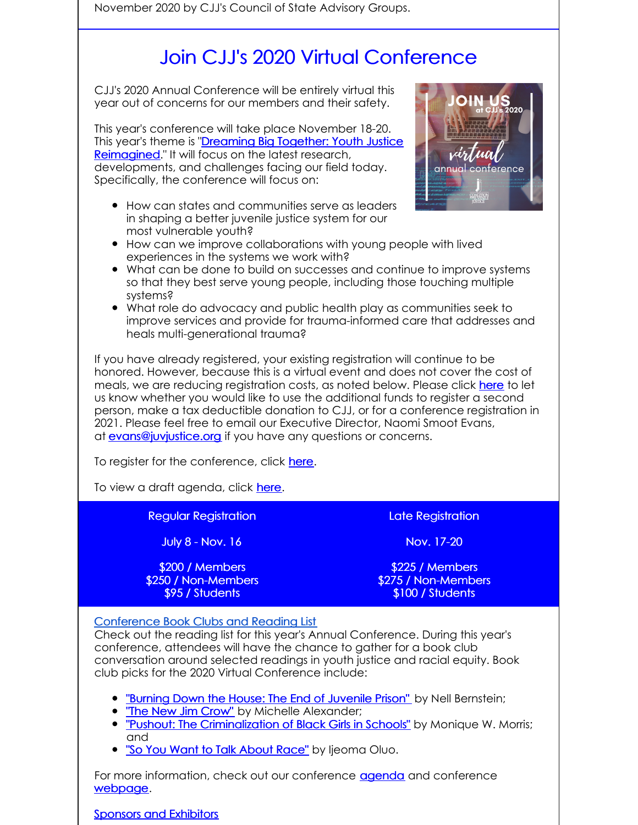November 2020 by CJJ's Council of State Advisory Groups.

# Join CJJ's 2020 Virtual Conference

CJJ's 2020 Annual Conference will be entirely virtual this year out of concerns for our members and their safety.

This year's conference will take place November 18-20. This year's theme is "Dreaming Big Together: Youth Justice [Reimagined."](http://www.juvjustice.org/events/conferences/2020-annual-conference-weve-gone-virtual) It will focus on the latest research, developments, and challenges facing our field today. Specifically, the conference will focus on:

How can states and communities serve as leaders in shaping a better juvenile justice system for our most vulnerable youth?



- How can we improve collaborations with young people with lived experiences in the systems we work with?
- What can be done to build on successes and continue to improve systems so that they best serve young people, including those touching multiple systems?
- What role do advocacy and public health play as communities seek to improve services and provide for trauma-informed care that addresses and heals multi-generational trauma?

If you have already registered, your existing registration will continue to be honored. However, because this is a virtual event and does not cover the cost of meals, we are reducing registration costs, as noted below. Please click [here](https://docs.google.com/forms/d/e/1FAIpQLSe66zcNtNSSNf8AL5OvRCfUYK0ThzNaiAmrLHhFN-3kRCKNNg/viewform?usp=sf_link) to let us know whether you would like to use the additional funds to register a second person, make a tax deductible donation to CJJ, or for a conference registration in 2021. Please feel free to email our Executive Director, Naomi Smoot Evans, at **[evans@juvjustice.org](mailto:evans@juvjustice.org)** if you have any questions or concerns.

To register for the conference, click [here](http://www.juvjustice.org/civicrm/event/register?reset=1&id=50&cid=0).

To view a draft agenda, click [here](https://www.juvjustice.org/sites/default/files/ckfinder/files/Conference Agenda 9_11_20.pdf).

### Regular Registration

July 8 - Nov. 16

\$200 / Members \$250 / Non-Members \$95 / Students

Late Registration

Nov. 17-20

\$225 / Members \$275 / Non-Members \$100 / Students

### Conference Book Clubs and Reading List

Check out the reading list for this year's Annual Conference. During this year's conference, attendees will have the chance to gather for a book club conversation around selected readings in youth justice and racial equity. Book club picks for the 2020 Virtual Conference include:

- **"Burning Down the House: The End of [Juvenile](https://www.google.com/books/edition/Burning_Down_the_House/LMLaAgAAQBAJ?hl=en&gbpv=1&printsec=frontcover) Prison"** by Nell Bernstein;
- **"The New Jim [Crow"](https://www.google.com/books/edition/The_New_Jim_Crow/_SKbzXqmawoC?hl=en&gbpv=1&printsec=frontcover)** by Michelle Alexander;
- . "Pushout: The [Criminalization](https://www.google.com/books/edition/Pushout/uhjfCgAAQBAJ?hl=en&gbpv=1&printsec=frontcover) of Black Girls in Schools" by Monique W. Morris; and
- . "So You Want to Talk [About](https://www.google.com/books/edition/So_You_Want_to_Talk_About_Race/c0eRDwAAQBAJ?hl=en&gbpv=1&printsec=frontcover) Race" by Ijeoma Oluo.

For more information, check out our conference [agenda](https://juvjustice.org/sites/default/files/ckfinder/files/Conference Agenda 8_12_20.pdf) and conference [webpage](https://juvjustice.org/events/conferences/2020-annual-conference-weve-gone-virtual).

Sponsors and [Exhibitors](http://survey.constantcontact.com/survey/a07egvtvqzmk5wo3xx1/start)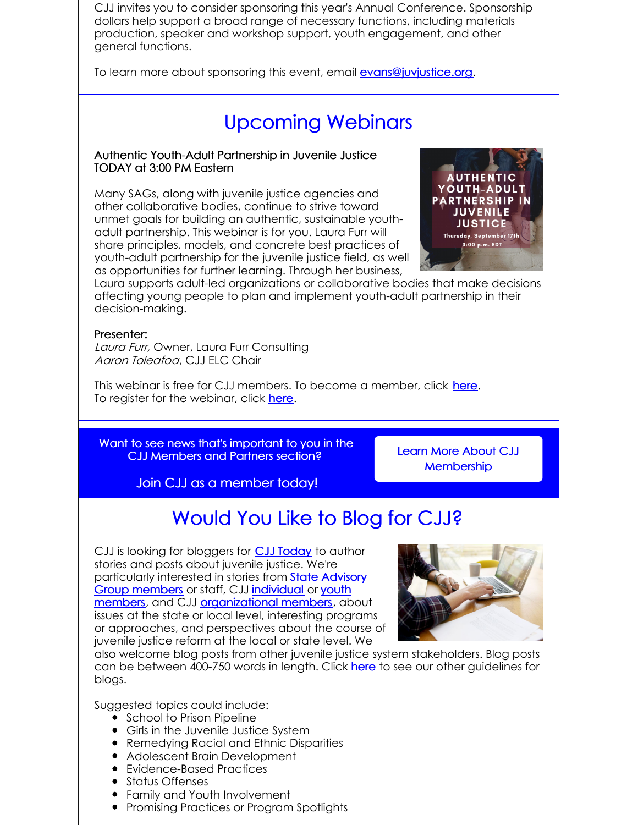CJJ invites you to consider sponsoring this year's Annual Conference. Sponsorship dollars help support a broad range of necessary functions, including materials production, speaker and workshop support, youth engagement, and other general functions.

To learn more about sponsoring this event, email [evans@juvjustice.org](mailto:evans@juvjustice.org).

## Upcoming Webinars

#### Authentic Youth-Adult Partnership in Juvenile Justice TODAY at 3:00 PM Eastern

Many SAGs, along with juvenile justice agencies and other collaborative bodies, continue to strive toward unmet goals for building an authentic, sustainable youthadult partnership. This webinar is for you. Laura Furr will share principles, models, and concrete best practices of youth-adult partnership for the juvenile justice field, as well as opportunities for further learning. Through her business,



Laura supports adult-led organizations or collaborative bodies that make decisions affecting young people to plan and implement youth-adult partnership in their decision-making.

#### Presenter:

Laura Furr, Owner, Laura Furr [Consulting](https://www.lfurrconsulting.com/) Aaron Toleafoa, CJJ ELC Chair

This webinar is free for CJJ members. To become a member, click [here](http://www.juvjustice.org/civicrm/contribute/transact?reset=1&id=2). To register for the webinar, click [here](https://attendee.gotowebinar.com/register/676742118567494670).

Want to see news that's important to you in the CJJ Members and Partners section?

Learn More About CJJ **[Membership](http://juvjustice.org/about-us/members)** 

Join CJJ as a member today!

## Would You Like to Blog for CJJ?

CJJ is looking for bloggers for **CJJ [Today](http://www.juvjustice.org/blog)** to author stories and posts about juvenile justice. We're [particularly](http://www.juvjustice.org/about-us/state-advisory-group-members) interested in stories from **State Advisory** Group members or staff, CJJ [individual](http://juvjustice.org/about-us/members/individual-memberships) or youth members, and CJJ [organizational](http://juvjustice.org/youth-members) members, about issues at the state or local level, interesting programs or approaches, and perspectives about the course of juvenile justice reform at the local or state level. We



also welcome blog posts from other juvenile justice system stakeholders. Blog posts can be between 400-750 words in length. Click [here](http://files.constantcontact.com/31e4a892301/ae2fa24f-a0c7-4002-a04b-2d9a65ad104a.pdf) to see our other guidelines for blogs.

Suggested topics could include:

- **School to Prison Pipeline**
- Girls in the Juvenile Justice System
- Remedying Racial and Ethnic Disparities
- Adolescent Brain Development
- Evidence-Based Practices
- Status Offenses
- Family and Youth Involvement
- **•** Promising Practices or Program Spotlights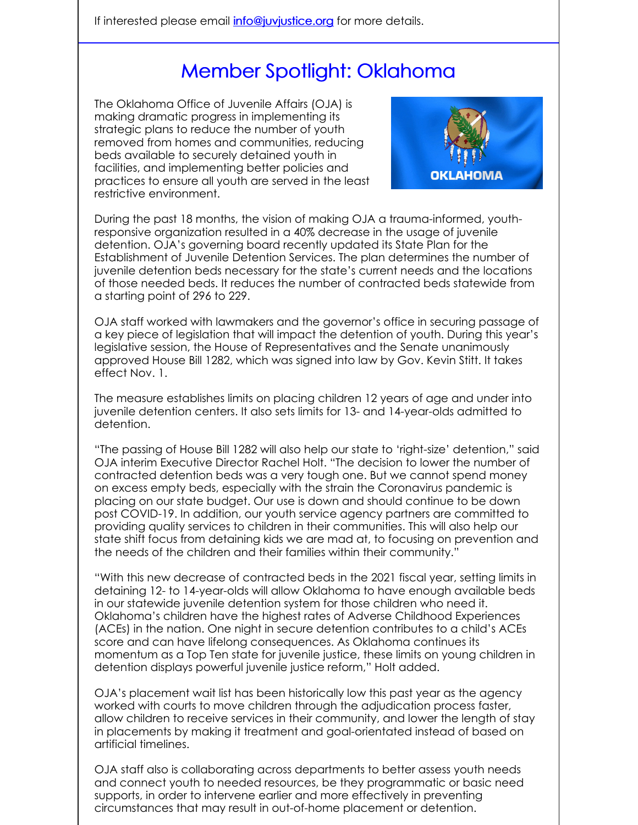## Member Spotlight: Oklahoma

The Oklahoma Office of Juvenile Affairs (OJA) is making dramatic progress in implementing its strategic plans to reduce the number of youth removed from homes and communities, reducing beds available to securely detained youth in facilities, and implementing better policies and practices to ensure all youth are served in the least restrictive environment.



During the past 18 months, the vision of making OJA a trauma-informed, youthresponsive organization resulted in a 40% decrease in the usage of juvenile detention. OJA's governing board recently updated its State Plan for the Establishment of Juvenile Detention Services. The plan determines the number of juvenile detention beds necessary for the state's current needs and the locations of those needed beds. It reduces the number of contracted beds statewide from a starting point of 296 to 229.

OJA staff worked with lawmakers and the governor's office in securing passage of a key piece of legislation that will impact the detention of youth. During this year's legislative session, the House of Representatives and the Senate unanimously approved House Bill 1282, which was signed into law by Gov. Kevin Stitt. It takes effect Nov. 1.

The measure establishes limits on placing children 12 years of age and under into juvenile detention centers. It also sets limits for 13- and 14-year-olds admitted to detention.

"The passing of House Bill 1282 will also help our state to 'right-size' detention," said OJA interim Executive Director Rachel Holt. "The decision to lower the number of contracted detention beds was a very tough one. But we cannot spend money on excess empty beds, especially with the strain the Coronavirus pandemic is placing on our state budget. Our use is down and should continue to be down post COVID-19. In addition, our youth service agency partners are committed to providing quality services to children in their communities. This will also help our state shift focus from detaining kids we are mad at, to focusing on prevention and the needs of the children and their families within their community."

"With this new decrease of contracted beds in the 2021 fiscal year, setting limits in detaining 12- to 14-year-olds will allow Oklahoma to have enough available beds in our statewide juvenile detention system for those children who need it. Oklahoma's children have the highest rates of Adverse Childhood Experiences (ACEs) in the nation. One night in secure detention contributes to a child's ACEs score and can have lifelong consequences. As Oklahoma continues its momentum as a Top Ten state for juvenile justice, these limits on young children in detention displays powerful juvenile justice reform," Holt added.

OJA's placement wait list has been historically low this past year as the agency worked with courts to move children through the adjudication process faster, allow children to receive services in their community, and lower the length of stay in placements by making it treatment and goal-orientated instead of based on artificial timelines.

OJA staff also is collaborating across departments to better assess youth needs and connect youth to needed resources, be they programmatic or basic need supports, in order to intervene earlier and more effectively in preventing circumstances that may result in out-of-home placement or detention.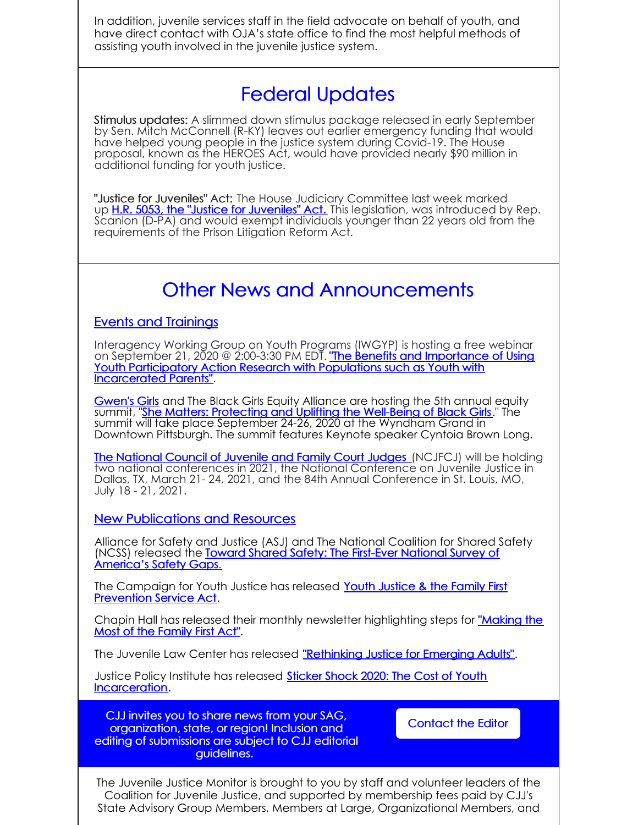In addition, juvenile services staff in the field advocate on behalf of youth, and have direct contact with OJA's state office to find the most helpful methods of assisting youth involved in the juvenile justice system.

### Federal Updates

Stimulus updates: A slimmed down stimulus package released in early September by Sen. Mitch McConnell (R-KY) leaves out earlier emergency funding that would have helped young people in the justice system during Covid-19. The House proposal, known as the HEROES Act, would have provided nearly \$90 million in additional funding for youth justice.

"Justice for Juveniles" Act: The House Judiciary Committee last week marked up H.R. 5053, the "Justice for [Juveniles"](https://www.congress.gov/116/bills/hr5053/BILLS-116hr5053ih.pdf) Act. This legislation, was introduced by Rep. Scanlon (D-PA) and would exempt individuals younger than 22 years old from the requirements of the Prison Litigation Reform Act.

### Other News and Announcements

### Events and Trainings

Interagency Working Group on Youth Programs (IWGYP) is hosting a free webinar on September 21, 2020 @ 2:00-3:30 PM EDT. "The Benefits and Importance of Using Youth Participatory Action Research with Populations such as Youth with [Incarcerated](https://air-org.zoom.us/webinar/register/WN_lYgHx_KJRtOdgNtIzceLLQ) Parents".

[Gwen's](http://www.gwensgirls.org/) Girls and The Black Girls Equity Alliance are hosting the 5th annual equity summit, "<mark>She Matters: Protecting and Uplifting the [Well-Being](http://www.gwensgirls.org/equity-summit-2/) of Black Girls</mark>." The summit will take place September 24-26, 2020 at the Wyndham Grand in Downtown Pittsburgh. The summit features Keynote speaker Cyntoia Brown Long.

The [National](https://www.ncjfcj.org/) Council of Juvenile and Family Court Judges (NCJFCJ) will be holding two national conferences in 2021, the National Conference on Juvenile Justice in Dallas, TX, March 21- 24, 2021, and the 84th Annual Conference in St. Louis, MO, July 18 - 21, 2021.

New Publications and Resources

Alliance for Safety and Justice (ASJ) and The National Coalition for Shared Safety (NCSS) released the Toward Shared Safety: The First-Ever National Survey of [America's](https://allianceforsafetyandjustice.org/wp-content/uploads/2020/09/NatlSafetyGaps-Report-PREVIEW-20200908-1751.pdf) Safety Gaps.

The [Campaign](http://act4jj.org/sites/default/files/ckfinder/files/CFYJ FF August 2020.pdf) for Youth Justice has released Youth Justice & the Family First Prevention Service Act.

Chapin Hall has released their monthly newsletter [highlighting](https://www.chapinhall.org/project/partnerships-with-jurisdictions-improve-implementation-of-family-first/) steps for "Making the Most of the Family First Act".

The Juvenile Law Center has released ["Rethinking](https://go.pardot.com/webmail/352231/164422716/62d48a8ea18e61569257c1e92151dcfb10205f66068deb68656bda309bc792c1) Justice for Emerging Adults".

Justice Policy Institute has released Sticker Shock 2020: The Cost of Youth [Incarceration.](http://www.justicepolicy.org/uploads/justicepolicy/documents/Sticker_Shock_2020.pdf)

CJJ invites you to share news from your SAG, organization, state, or region! Inclusion and editing of submissions are subject to CJJ editorial guidelines.

[Contact](mailto:info@juvjustice.org) the Editor

The Juvenile Justice Monitor is brought to you by staff and volunteer leaders of the Coalition for Juvenile Justice, and supported by membership fees paid by CJJ's State Advisory Group Members, Members at Large, Organizational Members, and